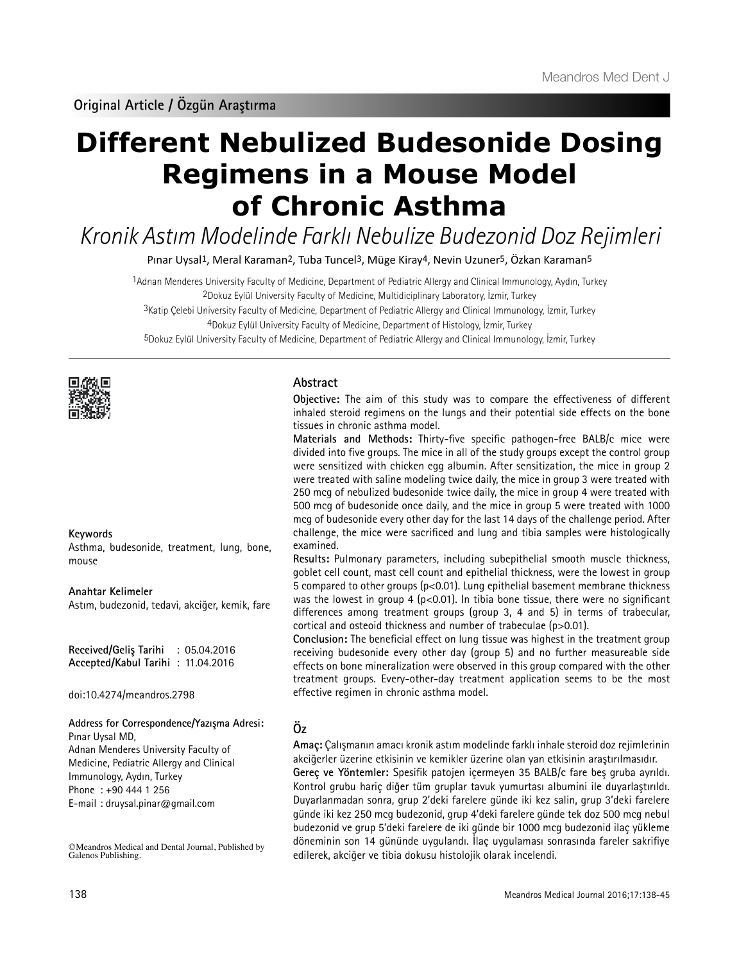# **Different Nebulized Budesonide Dosing Regimens in a Mouse Model of Chronic Asthma**

Kronik Astım Modelinde Farklı Nebulize Budezonid Doz Rejimleri

Pınar Uysal1, Meral Karaman2, Tuba Tuncel3, Müge Kiray4, Nevin Uzuner5, Özkan Karaman5

1Adnan Menderes University Faculty of Medicine, Department of Pediatric Allergy and Clinical Immunology, Aydın, Turkey 2Dokuz Eylül University Faculty of Medicine, Multidiciplinary Laboratory, İzmir, Turkey

3Katip Çelebi University Faculty of Medicine, Department of Pediatric Allergy and Clinical Immunology, İzmir, Turkey

4Dokuz Eylül University Faculty of Medicine, Department of Histology, İzmir, Turkey

5Dokuz Eylül University Faculty of Medicine, Department of Pediatric Allergy and Clinical Immunology, İzmir, Turkey



## **Keywords**

Asthma, budesonide, treatment, lung, bone, mouse

**Anahtar Kelimeler** Astım, budezonid, tedavi, akciğer, kemik, fare

**Received/Geliş Tarihi** : 05.04.2016 **Accepted/Kabul Tarihi** : 11.04.2016

doi:10.4274/meandros.2798

**Address for Correspondence/Yazışma Adresi:** Pınar Uysal MD,

Adnan Menderes University Faculty of Medicine, Pediatric Allergy and Clinical Immunology, Aydın, Turkey Phone : +90 444 1 256 E-mail : druysal.pinar@gmail.com

©Meandros Medical and Dental Journal, Published by Galenos Publishing.

## **Abstract**

**Objective:** The aim of this study was to compare the effectiveness of different inhaled steroid regimens on the lungs and their potential side effects on the bone tissues in chronic asthma model.

**Materials and Methods:** Thirty-five specific pathogen-free BALB/c mice were divided into five groups. The mice in all of the study groups except the control group were sensitized with chicken egg albumin. After sensitization, the mice in group 2 were treated with saline modeling twice daily, the mice in group 3 were treated with 250 mcg of nebulized budesonide twice daily, the mice in group 4 were treated with 500 mcg of budesonide once daily, and the mice in group 5 were treated with 1000 mcg of budesonide every other day for the last 14 days of the challenge period. After challenge, the mice were sacrificed and lung and tibia samples were histologically examined.

**Results:** Pulmonary parameters, including subepithelial smooth muscle thickness, goblet cell count, mast cell count and epithelial thickness, were the lowest in group 5 compared to other groups (p<0.01). Lung epithelial basement membrane thickness was the lowest in group 4 ( $p<0.01$ ). In tibia bone tissue, there were no significant differences among treatment groups (group 3, 4 and 5) in terms of trabecular, cortical and osteoid thickness and number of trabeculae (p>0.01).

**Conclusion:** The beneficial effect on lung tissue was highest in the treatment group receiving budesonide every other day (group 5) and no further measureable side effects on bone mineralization were observed in this group compared with the other treatment groups. Every-other-day treatment application seems to be the most effective regimen in chronic asthma model.

# **Öz**

**Amaç:** Çalışmanın amacı kronik astım modelinde farklı inhale steroid doz rejimlerinin akciğerler üzerine etkisinin ve kemikler üzerine olan yan etkisinin araştırılmasıdır. **Gereç ve Yöntemler:** Spesifik patojen içermeyen 35 BALB/c fare beş gruba ayrıldı. Kontrol grubu hariç diğer tüm gruplar tavuk yumurtası albumini ile duyarlaştırıldı. Duyarlanmadan sonra, grup 2'deki farelere günde iki kez salin, grup 3'deki farelere günde iki kez 250 mcg budezonid, grup 4'deki farelere günde tek doz 500 mcg nebul budezonid ve grup 5'deki farelere de iki günde bir 1000 mcg budezonid ilaç yükleme döneminin son 14 gününde uygulandı. İlaç uygulaması sonrasında fareler sakrifiye edilerek, akciğer ve tibia dokusu histolojik olarak incelendi.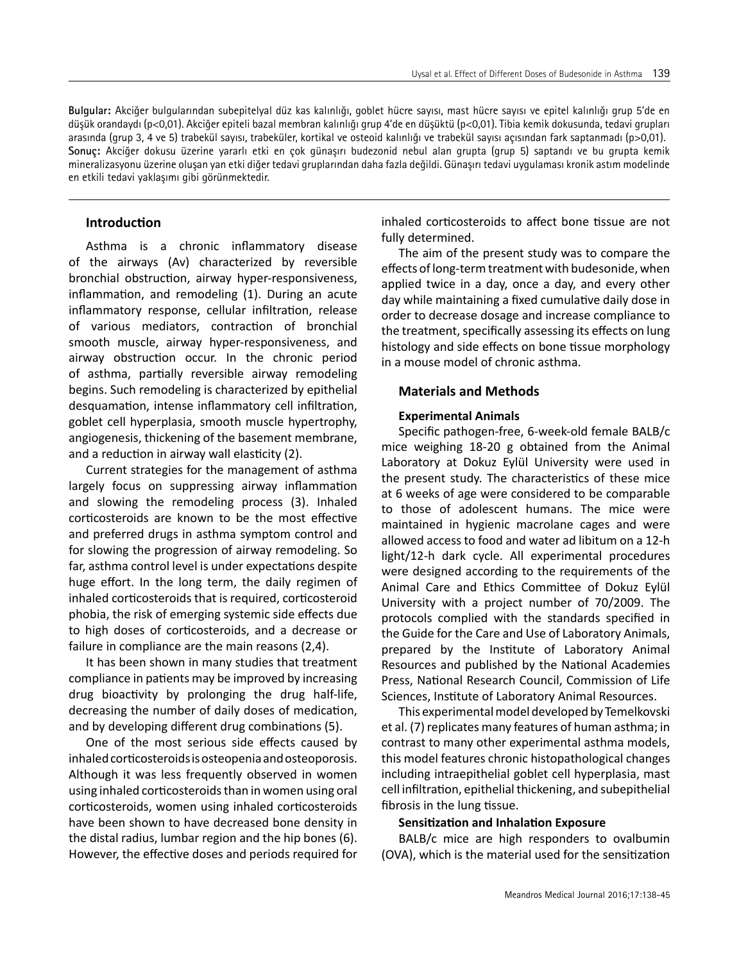**Bulgular:** Akciğer bulgularından subepitelyal düz kas kalınlığı, goblet hücre sayısı, mast hücre sayısı ve epitel kalınlığı grup 5'de en düşük orandaydı (p<0,01). Akciğer epiteli bazal membran kalınlığı grup 4'de en düşüktü (p<0,01). Tibia kemik dokusunda, tedavi grupları arasında (grup 3, 4 ve 5) trabekül sayısı, trabeküler, kortikal ve osteoid kalınlığı ve trabekül sayısı açısından fark saptanmadı (p>0,01). **Sonuç:** Akciğer dokusu üzerine yararlı etki en çok günaşırı budezonid nebul alan grupta (grup 5) saptandı ve bu grupta kemik mineralizasyonu üzerine oluşan yan etki diğer tedavi gruplarından daha fazla değildi. Günaşırı tedavi uygulaması kronik astım modelinde en etkili tedavi yaklaşımı gibi görünmektedir.

## **Introduction**

Asthma is a chronic inflammatory disease of the airways (Av) characterized by reversible bronchial obstruction, airway hyper-responsiveness, inflammation, and remodeling (1). During an acute inflammatory response, cellular infiltration, release of various mediators, contraction of bronchial smooth muscle, airway hyper-responsiveness, and airway obstruction occur. In the chronic period of asthma, partially reversible airway remodeling begins. Such remodeling is characterized by epithelial desquamation, intense inflammatory cell infiltration, goblet cell hyperplasia, smooth muscle hypertrophy, angiogenesis, thickening of the basement membrane, and a reduction in airway wall elasticity (2).

Current strategies for the management of asthma largely focus on suppressing airway inflammation and slowing the remodeling process (3). Inhaled corticosteroids are known to be the most effective and preferred drugs in asthma symptom control and for slowing the progression of airway remodeling. So far, asthma control level is under expectations despite huge effort. In the long term, the daily regimen of inhaled corticosteroids that is required, corticosteroid phobia, the risk of emerging systemic side effects due to high doses of corticosteroids, and a decrease or failure in compliance are the main reasons (2,4).

It has been shown in many studies that treatment compliance in patients may be improved by increasing drug bioactivity by prolonging the drug half-life, decreasing the number of daily doses of medication, and by developing different drug combinations (5).

One of the most serious side effects caused by inhaled corticosteroids is osteopenia and osteoporosis. Although it was less frequently observed in women using inhaled corticosteroids than in women using oral corticosteroids, women using inhaled corticosteroids have been shown to have decreased bone density in the distal radius, lumbar region and the hip bones (6). However, the effective doses and periods required for inhaled corticosteroids to affect bone tissue are not fully determined.

The aim of the present study was to compare the effects of long-term treatment with budesonide, when applied twice in a day, once a day, and every other day while maintaining a fixed cumulative daily dose in order to decrease dosage and increase compliance to the treatment, specifically assessing its effects on lung histology and side effects on bone tissue morphology in a mouse model of chronic asthma.

### **Materials and Methods**

## **Experimental Animals**

Specific pathogen-free, 6-week-old female BALB/c mice weighing 18-20 g obtained from the Animal Laboratory at Dokuz Eylül University were used in the present study. The characteristics of these mice at 6 weeks of age were considered to be comparable to those of adolescent humans. The mice were maintained in hygienic macrolane cages and were allowed access to food and water ad libitum on a 12-h light/12-h dark cycle. All experimental procedures were designed according to the requirements of the Animal Care and Ethics Committee of Dokuz Eylül University with a project number of 70/2009. The protocols complied with the standards specified in the Guide for the Care and Use of Laboratory Animals, prepared by the Institute of Laboratory Animal Resources and published by the National Academies Press, National Research Council, Commission of Life Sciences, Institute of Laboratory Animal Resources.

This experimental model developed by Temelkovski et al. (7) replicates many features of human asthma; in contrast to many other experimental asthma models, this model features chronic histopathological changes including intraepithelial goblet cell hyperplasia, mast cell infiltration, epithelial thickening, and subepithelial fibrosis in the lung tissue.

#### **Sensitization and Inhalation Exposure**

BALB/c mice are high responders to ovalbumin (OVA), which is the material used for the sensitization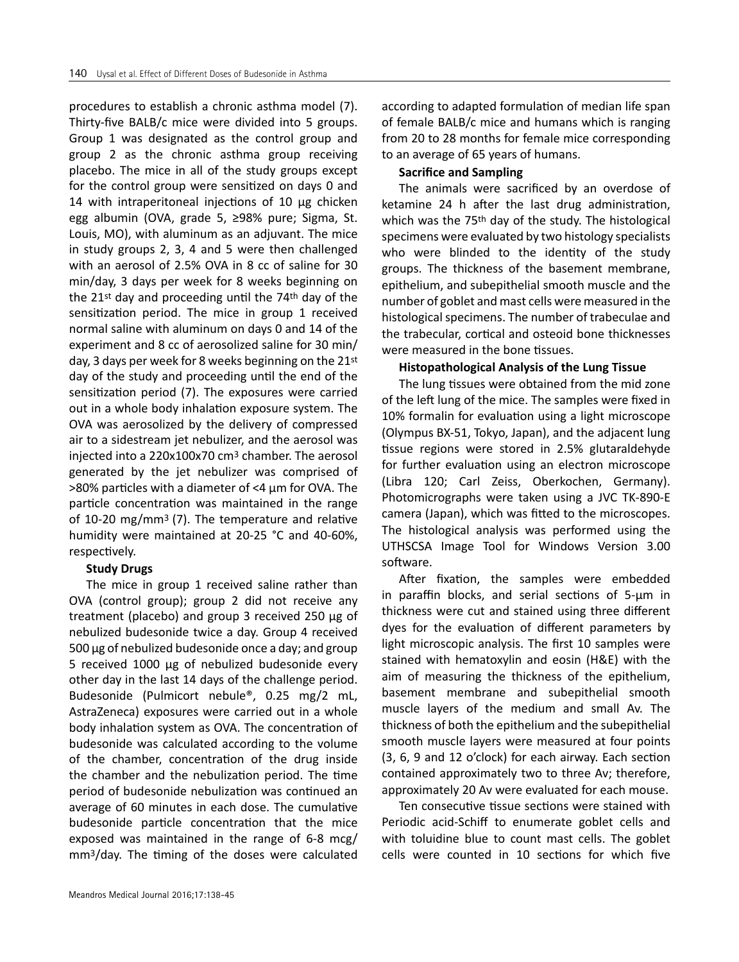procedures to establish a chronic asthma model (7). Thirty-five BALB/c mice were divided into 5 groups. Group 1 was designated as the control group and group 2 as the chronic asthma group receiving placebo. The mice in all of the study groups except for the control group were sensitized on days 0 and 14 with intraperitoneal injections of 10 μg chicken egg albumin (OVA, grade 5, ≥98% pure; Sigma, St. Louis, MO), with aluminum as an adjuvant. The mice in study groups 2, 3, 4 and 5 were then challenged with an aerosol of 2.5% OVA in 8 cc of saline for 30 min/day, 3 days per week for 8 weeks beginning on the 21st day and proceeding until the 74th day of the sensitization period. The mice in group 1 received normal saline with aluminum on days 0 and 14 of the experiment and 8 cc of aerosolized saline for 30 min/ day, 3 days per week for 8 weeks beginning on the 21st day of the study and proceeding until the end of the sensitization period (7). The exposures were carried out in a whole body inhalation exposure system. The OVA was aerosolized by the delivery of compressed air to a sidestream jet nebulizer, and the aerosol was injected into a 220x100x70 cm3 chamber. The aerosol generated by the jet nebulizer was comprised of >80% particles with a diameter of <4 μm for OVA. The particle concentration was maintained in the range of 10-20 mg/mm3 (7). The temperature and relative humidity were maintained at 20-25 °C and 40-60%, respectively.

## **Study Drugs**

The mice in group 1 received saline rather than OVA (control group); group 2 did not receive any treatment (placebo) and group 3 received 250 μg of nebulized budesonide twice a day. Group 4 received 500 μg of nebulized budesonide once a day; and group 5 received 1000 μg of nebulized budesonide every other day in the last 14 days of the challenge period. Budesonide (Pulmicort nebule®, 0.25 mg/2 mL, AstraZeneca) exposures were carried out in a whole body inhalation system as OVA. The concentration of budesonide was calculated according to the volume of the chamber, concentration of the drug inside the chamber and the nebulization period. The time period of budesonide nebulization was continued an average of 60 minutes in each dose. The cumulative budesonide particle concentration that the mice exposed was maintained in the range of 6-8 mcg/ mm3/day. The timing of the doses were calculated according to adapted formulation of median life span of female BALB/c mice and humans which is ranging from 20 to 28 months for female mice corresponding to an average of 65 years of humans.

## **Sacrifice and Sampling**

The animals were sacrificed by an overdose of ketamine 24 h after the last drug administration, which was the 75th day of the study. The histological specimens were evaluated by two histology specialists who were blinded to the identity of the study groups. The thickness of the basement membrane, epithelium, and subepithelial smooth muscle and the number of goblet and mast cells were measured in the histological specimens. The number of trabeculae and the trabecular, cortical and osteoid bone thicknesses were measured in the bone tissues.

## **Histopathological Analysis of the Lung Tissue**

The lung tissues were obtained from the mid zone of the left lung of the mice. The samples were fixed in 10% formalin for evaluation using a light microscope (Olympus BX-51, Tokyo, Japan), and the adjacent lung tissue regions were stored in 2.5% glutaraldehyde for further evaluation using an electron microscope (Libra 120; Carl Zeiss, Oberkochen, Germany). Photomicrographs were taken using a JVC TK-890-E camera (Japan), which was fitted to the microscopes. The histological analysis was performed using the UTHSCSA Image Tool for Windows Version 3.00 software.

After fixation, the samples were embedded in paraffin blocks, and serial sections of 5-μm in thickness were cut and stained using three different dyes for the evaluation of different parameters by light microscopic analysis. The first 10 samples were stained with hematoxylin and eosin (H&E) with the aim of measuring the thickness of the epithelium, basement membrane and subepithelial smooth muscle layers of the medium and small Av. The thickness of both the epithelium and the subepithelial smooth muscle layers were measured at four points (3, 6, 9 and 12 o'clock) for each airway. Each section contained approximately two to three Av; therefore, approximately 20 Av were evaluated for each mouse.

Ten consecutive tissue sections were stained with Periodic acid-Schiff to enumerate goblet cells and with toluidine blue to count mast cells. The goblet cells were counted in 10 sections for which five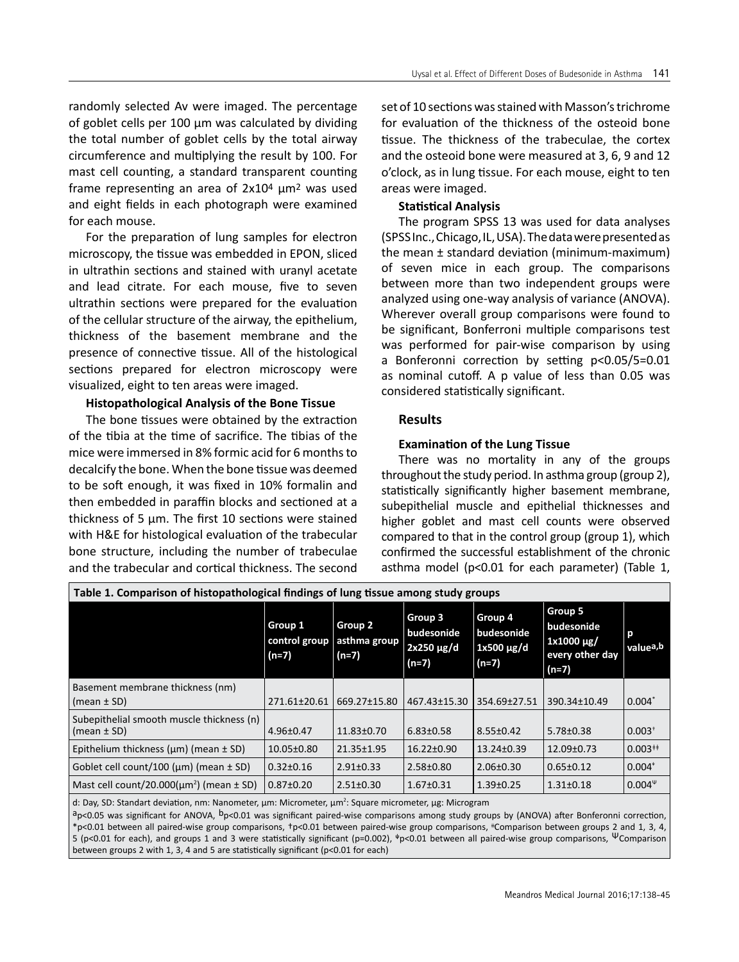randomly selected Av were imaged. The percentage of goblet cells per 100 μm was calculated by dividing the total number of goblet cells by the total airway circumference and multiplying the result by 100. For mast cell counting, a standard transparent counting frame representing an area of 2x104 μm2 was used and eight fields in each photograph were examined for each mouse.

For the preparation of lung samples for electron microscopy, the tissue was embedded in EPON, sliced in ultrathin sections and stained with uranyl acetate and lead citrate. For each mouse, five to seven ultrathin sections were prepared for the evaluation of the cellular structure of the airway, the epithelium, thickness of the basement membrane and the presence of connective tissue. All of the histological sections prepared for electron microscopy were visualized, eight to ten areas were imaged.

# **Histopathological Analysis of the Bone Tissue**

The bone tissues were obtained by the extraction of the tibia at the time of sacrifice. The tibias of the mice were immersed in 8% formic acid for 6 months to decalcify the bone. When the bone tissue was deemed to be soft enough, it was fixed in 10% formalin and then embedded in paraffin blocks and sectioned at a thickness of 5 μm. The first 10 sections were stained with H&E for histological evaluation of the trabecular bone structure, including the number of trabeculae and the trabecular and cortical thickness. The second

set of 10 sections was stained with Masson's trichrome for evaluation of the thickness of the osteoid bone tissue. The thickness of the trabeculae, the cortex and the osteoid bone were measured at 3, 6, 9 and 12 o'clock, as in lung tissue. For each mouse, eight to ten areas were imaged.

# **Statistical Analysis**

The program SPSS 13 was used for data analyses (SPSS Inc., Chicago, IL, USA). The data were presented as the mean  $\pm$  standard deviation (minimum-maximum) of seven mice in each group. The comparisons between more than two independent groups were analyzed using one-way analysis of variance (ANOVA). Wherever overall group comparisons were found to be significant, Bonferroni multiple comparisons test was performed for pair-wise comparison by using a Bonferonni correction by setting p<0.05/5=0.01 as nominal cutoff. A p value of less than 0.05 was considered statistically significant.

# **Results**

# **Examination of the Lung Tissue**

There was no mortality in any of the groups throughout the study period. In asthma group (group 2), statistically significantly higher basement membrane, subepithelial muscle and epithelial thicknesses and higher goblet and mast cell counts were observed compared to that in the control group (group 1), which confirmed the successful establishment of the chronic asthma model (p<0.01 for each parameter) (Table 1,

| Table 1. Comparison of histopathological findings of lung tissue among study groups |                                     |                                    |                                                     |                                                |                                                                           |                            |  |  |  |  |
|-------------------------------------------------------------------------------------|-------------------------------------|------------------------------------|-----------------------------------------------------|------------------------------------------------|---------------------------------------------------------------------------|----------------------------|--|--|--|--|
|                                                                                     | Group 1<br>control group<br>$(n=7)$ | Group 2<br>asthma group<br>$(n=7)$ | Group 3<br>budesonide<br>$2x250 \mu g/d$<br>$(n=7)$ | Group 4<br>budesonide<br>1x500 µg/d<br>$(n=7)$ | Group 5<br>budesonide<br>$\vert$ 1x1000 µg/<br>every other day<br>$(n=7)$ | р<br>valuea,b              |  |  |  |  |
| Basement membrane thickness (nm)<br>$\vert$ (mean $\pm$ SD)                         | 271.61±20.61                        | 669.27±15.80                       | 467.43±15.30                                        | 354.69±27.51                                   | 390.34±10.49                                                              | $ 0.004*$                  |  |  |  |  |
| Subepithelial smooth muscle thickness (n)<br>$\vert$ (mean $\pm$ SD)                | $4.96 \pm 0.47$                     | $11.83 \pm 0.70$                   | $6.83 \pm 0.58$                                     | $8.55 \pm 0.42$                                | $5.78 \pm 0.38$                                                           | $ 0.003$ <sup>+</sup>      |  |  |  |  |
| Epithelium thickness ( $\mu$ m) (mean $\pm$ SD)                                     | $10.05 \pm 0.80$                    | 21.35±1.95                         | $16.22 \pm 0.90$                                    | $13.24 \pm 0.39$                               | $12.09 \pm 0.73$                                                          | $ 0.003^{++}$              |  |  |  |  |
| Goblet cell count/100 ( $\mu$ m) (mean $\pm$ SD)                                    | $0.32 \pm 0.16$                     | $2.91 \pm 0.33$                    | $2.58 \pm 0.80$                                     | $2.06 \pm 0.30$                                | $0.65 \pm 0.12$                                                           | $ 0.004^*$                 |  |  |  |  |
| Mast cell count/20.000( $\mu$ m <sup>2</sup> ) (mean $\pm$ SD)                      | $0.87 \pm 0.20$                     | $2.51 \pm 0.30$                    | $1.67 \pm 0.31$                                     | $1.39 \pm 0.25$                                | $1.31 \pm 0.18$                                                           | $ 0.004^{\mathrm{\upmu}} $ |  |  |  |  |

d: Day, SD: Standart deviation, nm: Nanometer, μm: Micrometer, μm<sup>2</sup>: Square micrometer, μg: Microgram

 $a_{\text{p}<0.05}$  was significant for ANOVA,  $b_{\text{p}<0.01}$  was significant paired-wise comparisons among study groups by (ANOVA) after Bonferonni correction, \*p<0.01 between all paired-wise group comparisons, +p<0.01 between paired-wise group comparisons, <sup>#</sup>Comparison between groups 2 and 1, 3, 4, 5 (p<0.01 for each), and groups 1 and 3 were statistically significant (p=0.002),  $\Psi$ p<0.01 between all paired-wise group comparisons, ΨComparison between groups 2 with 1, 3, 4 and 5 are statistically significant (p<0.01 for each)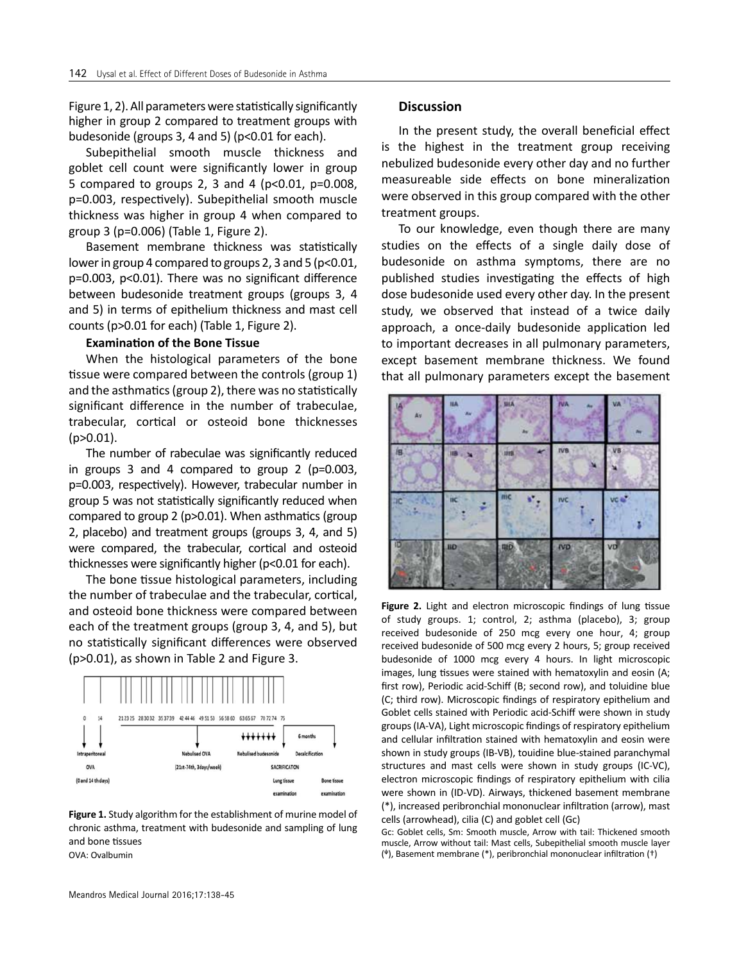Figure 1, 2). All parameters were statistically significantly higher in group 2 compared to treatment groups with budesonide (groups 3, 4 and 5) (p<0.01 for each).

Subepithelial smooth muscle thickness and goblet cell count were significantly lower in group 5 compared to groups 2, 3 and 4 ( $p<0.01$ ,  $p=0.008$ , p=0.003, respectively). Subepithelial smooth muscle thickness was higher in group 4 when compared to group 3 (p=0.006) (Table 1, Figure 2).

Basement membrane thickness was statistically lower in group 4 compared to groups 2, 3 and 5 (p<0.01, p=0.003, p<0.01). There was no significant difference between budesonide treatment groups (groups 3, 4 and 5) in terms of epithelium thickness and mast cell counts (p>0.01 for each) (Table 1, Figure 2).

### **Examination of the Bone Tissue**

When the histological parameters of the bone tissue were compared between the controls (group 1) and the asthmatics (group 2), there was no statistically significant difference in the number of trabeculae, trabecular, cortical or osteoid bone thicknesses  $(p>0.01)$ .

The number of rabeculae was significantly reduced in groups 3 and 4 compared to group 2 (p=0.003, p=0.003, respectively). However, trabecular number in group 5 was not statistically significantly reduced when compared to group 2 (p>0.01). When asthmatics (group 2, placebo) and treatment groups (groups 3, 4, and 5) were compared, the trabecular, cortical and osteoid thicknesses were significantly higher (p<0.01 for each).

The bone tissue histological parameters, including the number of trabeculae and the trabecular, cortical, and osteoid bone thickness were compared between each of the treatment groups (group 3, 4, and 5), but no statistically significant differences were observed (p>0.01), as shown in Table 2 and Figure 3.



**Figure 1.** Study algorithm for the establishment of murine model of chronic asthma, treatment with budesonide and sampling of lung and bone tissues OVA: Ovalbumin

## **Discussion**

In the present study, the overall beneficial effect is the highest in the treatment group receiving nebulized budesonide every other day and no further measureable side effects on bone mineralization were observed in this group compared with the other treatment groups.

To our knowledge, even though there are many studies on the effects of a single daily dose of budesonide on asthma symptoms, there are no published studies investigating the effects of high dose budesonide used every other day. In the present study, we observed that instead of a twice daily approach, a once-daily budesonide application led to important decreases in all pulmonary parameters, except basement membrane thickness. We found that all pulmonary parameters except the basement



**Figure 2.** Light and electron microscopic findings of lung tissue of study groups. 1; control, 2; asthma (placebo), 3; group received budesonide of 250 mcg every one hour, 4; group received budesonide of 500 mcg every 2 hours, 5; group received budesonide of 1000 mcg every 4 hours. In light microscopic images, lung tissues were stained with hematoxylin and eosin (A; first row), Periodic acid-Schiff (B; second row), and toluidine blue (C; third row). Microscopic findings of respiratory epithelium and Goblet cells stained with Periodic acid-Schiff were shown in study groups (IA-VA), Light microscopic findings of respiratory epithelium and cellular infiltration stained with hematoxylin and eosin were shown in study groups (IB-VB), touidine blue-stained paranchymal structures and mast cells were shown in study groups (IC-VC), electron microscopic findings of respiratory epithelium with cilia were shown in (ID-VD). Airways, thickened basement membrane (\*), increased peribronchial mononuclear infiltration (arrow), mast cells (arrowhead), cilia (C) and goblet cell (Gc)

Gc: Goblet cells, Sm: Smooth muscle, Arrow with tail: Thickened smooth muscle, Arrow without tail: Mast cells, Subepithelial smooth muscle layer  $(*)$ , Basement membrane  $(*)$ , peribronchial mononuclear infiltration  $(*)$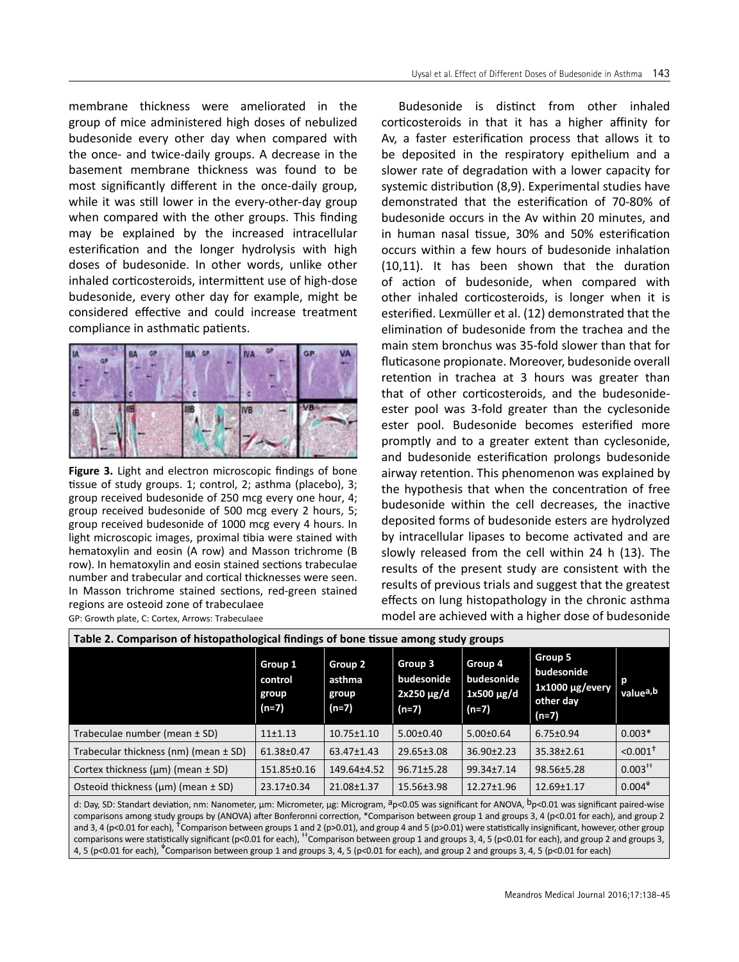membrane thickness were ameliorated in the group of mice administered high doses of nebulized budesonide every other day when compared with the once- and twice-daily groups. A decrease in the basement membrane thickness was found to be most significantly different in the once-daily group, while it was still lower in the every-other-day group when compared with the other groups. This finding may be explained by the increased intracellular esterification and the longer hydrolysis with high doses of budesonide. In other words, unlike other inhaled corticosteroids, intermittent use of high-dose budesonide, every other day for example, might be considered effective and could increase treatment compliance in asthmatic patients.



**Figure 3.** Light and electron microscopic findings of bone tissue of study groups. 1; control, 2; asthma (placebo), 3; group received budesonide of 250 mcg every one hour, 4; group received budesonide of 500 mcg every 2 hours, 5; group received budesonide of 1000 mcg every 4 hours. In light microscopic images, proximal tibia were stained with hematoxylin and eosin (A row) and Masson trichrome (B row). In hematoxylin and eosin stained sections trabeculae number and trabecular and cortical thicknesses were seen. In Masson trichrome stained sections, red-green stained regions are osteoid zone of trabeculaee GP: Growth plate, C: Cortex, Arrows: Trabeculaee

Budesonide is distinct from other inhaled corticosteroids in that it has a higher affinity for Av, a faster esterification process that allows it to be deposited in the respiratory epithelium and a slower rate of degradation with a lower capacity for systemic distribution (8,9). Experimental studies have demonstrated that the esterification of 70-80% of budesonide occurs in the Av within 20 minutes, and in human nasal tissue, 30% and 50% esterification occurs within a few hours of budesonide inhalation (10,11). It has been shown that the duration of action of budesonide, when compared with other inhaled corticosteroids, is longer when it is esterified. Lexmüller et al. (12) demonstrated that the elimination of budesonide from the trachea and the main stem bronchus was 35-fold slower than that for fluticasone propionate. Moreover, budesonide overall retention in trachea at 3 hours was greater than that of other corticosteroids, and the budesonideester pool was 3-fold greater than the cyclesonide ester pool. Budesonide becomes esterified more promptly and to a greater extent than cyclesonide, and budesonide esterification prolongs budesonide airway retention. This phenomenon was explained by the hypothesis that when the concentration of free budesonide within the cell decreases, the inactive deposited forms of budesonide esters are hydrolyzed by intracellular lipases to become activated and are slowly released from the cell within 24 h (13). The results of the present study are consistent with the results of previous trials and suggest that the greatest effects on lung histopathology in the chronic asthma model are achieved with a higher dose of budesonide

| Table 2. Comparison of histopathological findings of bone tissue among study groups                                                          |                                        |                                     |                                                     |                                                     |                                                                       |                        |  |  |  |  |
|----------------------------------------------------------------------------------------------------------------------------------------------|----------------------------------------|-------------------------------------|-----------------------------------------------------|-----------------------------------------------------|-----------------------------------------------------------------------|------------------------|--|--|--|--|
|                                                                                                                                              | Group 1<br>control<br>group<br>$(n=7)$ | Group 2<br>asthma<br>group<br>(n=7) | Group 3<br>budesonide<br>$2x250 \mu g/d$<br>$(n=7)$ | Group 4<br>budesonide<br>$1x500 \mu g/d$<br>$(n=7)$ | Group 5<br>budesonide<br>$1x1000 \mu g/every$<br>other day<br>$(n=7)$ | valuea, b              |  |  |  |  |
| Trabeculae number (mean $\pm$ SD)                                                                                                            | $11+1.13$                              | $10.75 \pm 1.10$                    | $5.00 \pm 0.40$                                     | $5.00 \pm 0.64$                                     | $6.75 \pm 0.94$                                                       | $0.003*$               |  |  |  |  |
| Trabecular thickness (nm) (mean $\pm$ SD)                                                                                                    | 61.38±0.47                             | 63.47±1.43                          | $29.65 \pm 3.08$                                    | $36.90 \pm 2.23$                                    | $35.38 \pm 2.61$                                                      | $< 0.001$ <sup>+</sup> |  |  |  |  |
| Cortex thickness ( $\mu$ m) (mean $\pm$ SD)                                                                                                  | 151.85±0.16                            | 149.64±4.52                         | $96.71 \pm 5.28$                                    | 99.34±7.14                                          | 98.56±5.28                                                            | $0.003^{**}$           |  |  |  |  |
| Osteoid thickness $(\mu m)$ (mean $\pm$ SD)                                                                                                  | 23.17±0.34                             | 21.08±1.37                          | 15.56±3.98                                          | $12.27 \pm 1.96$                                    | $12.69 \pm 1.17$                                                      | $0.004^4$              |  |  |  |  |
| de Day CD: Ctandart doviation nm: Nanomator um: Micromator um: Microgram dar OC uso cignificant for ANOVA Dar OM uso cignificant pairod wise |                                        |                                     |                                                     |                                                     |                                                                       |                        |  |  |  |  |

d: Day, SD: Standart deviation, nm: Nanometer, μm: Micrometer, μg: Microgram, ªp<0.05 was significant for ANOVA, <sup>D</sup>p<0.01 was significant paired-wise comparisons among study groups by (ANOVA) after Bonferonni correction, \*Comparison between group 1 and groups 3, 4 (p<0.01 for each), and group 2 and 3, 4 (p<0.01 for each), <sup>†</sup>Comparison between groups 1 and 2 (p>0.01), and group 4 and 5 (p>0.01) were statistically insignificant, however, other group comparisons were statistically significant (p<0.01 for each), <sup>++</sup>Comparison between group 1 and groups 3, 4, 5 (p<0.01 for each), and group 2 and groups 3, 4, 5 (p<0.01 for each),  $*$ Comparison between group 1 and groups 3, 4, 5 (p<0.01 for each), and group 2 and groups 3, 4, 5 (p<0.01 for each)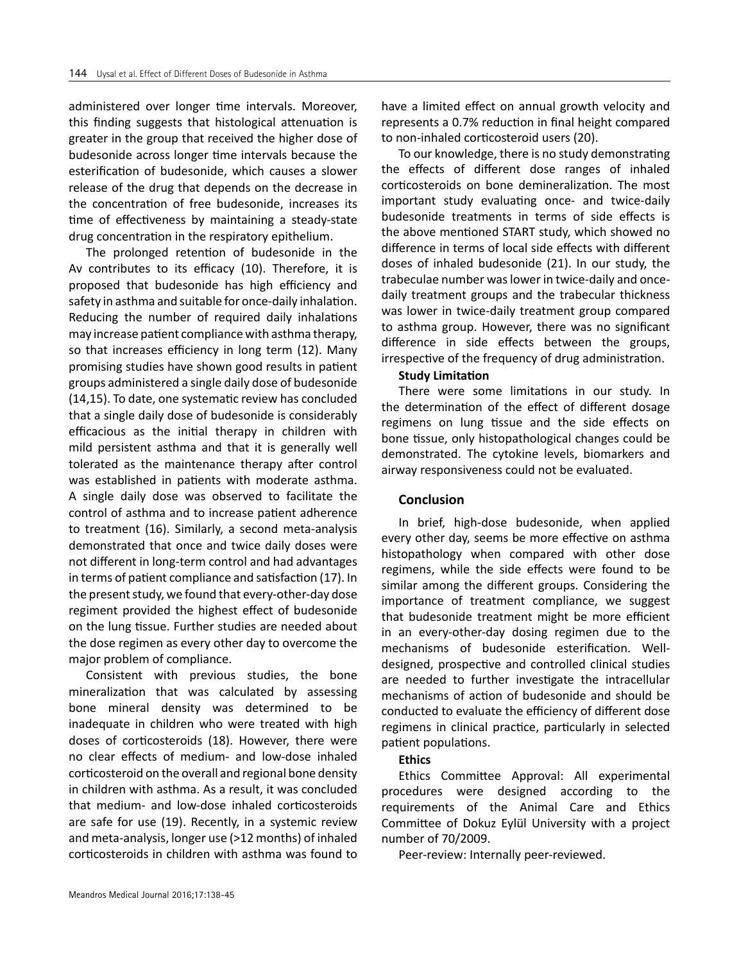administered over longer time intervals. Moreover, this finding suggests that histological attenuation is greater in the group that received the higher dose of budesonide across longer time intervals because the esterification of budesonide, which causes a slower release of the drug that depends on the decrease in the concentration of free budesonide, increases its time of effectiveness by maintaining a steady-state drug concentration in the respiratory epithelium.

The prolonged retention of budesonide in the Av contributes to its efficacy (10). Therefore, it is proposed that budesonide has high efficiency and safety in asthma and suitable for once-daily inhalation. Reducing the number of required daily inhalations may increase patient compliance with asthma therapy, so that increases efficiency in long term (12). Many promising studies have shown good results in patient groups administered a single daily dose of budesonide (14,15). To date, one systematic review has concluded that a single daily dose of budesonide is considerably efficacious as the initial therapy in children with mild persistent asthma and that it is generally well tolerated as the maintenance therapy after control was established in patients with moderate asthma. A single daily dose was observed to facilitate the control of asthma and to increase patient adherence to treatment (16). Similarly, a second meta-analysis demonstrated that once and twice daily doses were not different in long-term control and had advantages in terms of patient compliance and satisfaction (17). In the present study, we found that every-other-day dose regiment provided the highest effect of budesonide on the lung tissue. Further studies are needed about the dose regimen as every other day to overcome the major problem of compliance.

Consistent with previous studies, the bone mineralization that was calculated by assessing bone mineral density was determined to be inadequate in children who were treated with high doses of corticosteroids (18). However, there were no clear effects of medium- and low-dose inhaled corticosteroid on the overall and regional bone density in children with asthma. As a result, it was concluded that medium- and low-dose inhaled corticosteroids are safe for use (19). Recently, in a systemic review and meta-analysis, longer use (>12 months) of inhaled corticosteroids in children with asthma was found to have a limited effect on annual growth velocity and represents a 0.7% reduction in final height compared to non-inhaled corticosteroid users (20).

To our knowledge, there is no study demonstrating the effects of different dose ranges of inhaled corticosteroids on bone demineralization. The most important study evaluating once- and twice-daily budesonide treatments in terms of side effects is the above mentioned START study, which showed no difference in terms of local side effects with different doses of inhaled budesonide (21). In our study, the trabeculae number was lower in twice-daily and oncedaily treatment groups and the trabecular thickness was lower in twice-daily treatment group compared to asthma group. However, there was no significant difference in side effects between the groups, irrespective of the frequency of drug administration.

## **Study Limitation**

There were some limitations in our study. In the determination of the effect of different dosage regimens on lung tissue and the side effects on bone tissue, only histopathological changes could be demonstrated. The cytokine levels, biomarkers and airway responsiveness could not be evaluated.

## **Conclusion**

In brief, high-dose budesonide, when applied every other day, seems be more effective on asthma histopathology when compared with other dose regimens, while the side effects were found to be similar among the different groups. Considering the importance of treatment compliance, we suggest that budesonide treatment might be more efficient in an every-other-day dosing regimen due to the mechanisms of budesonide esterification. Welldesigned, prospective and controlled clinical studies are needed to further investigate the intracellular mechanisms of action of budesonide and should be conducted to evaluate the efficiency of different dose regimens in clinical practice, particularly in selected patient populations.

## **Ethics**

Ethics Committee Approval: All experimental procedures were designed according to the requirements of the Animal Care and Ethics Committee of Dokuz Eylül University with a project number of 70/2009.

Peer-review: Internally peer-reviewed.